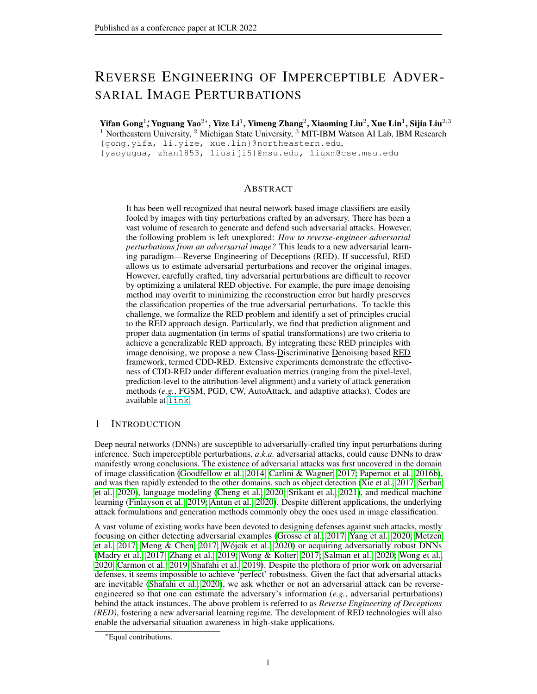# REVERSE ENGINEERING OF IMPERCEPTIBLE ADVER-SARIAL IMAGE PERTURBATIONS

Yifan Gong<sup>1</sup>\*, Yuguang Yao<sup>2</sup>\* , Yize Li<sup>1</sup> , Yimeng Zhang<sup>2</sup> , Xiaoming Liu<sup>2</sup> , Xue Lin<sup>1</sup> , Sijia Liu<sup>2,3</sup> <sup>1</sup> Northeastern University,  $2$  Michigan State University,  $3$  MIT-IBM Watson AI Lab, IBM Research {gong.yifa, li.yize, xue.lin}@northeastern.edu, {yaoyugua, zhan1853, liusiji5}@msu.edu, liuxm@cse.msu.edu

### ABSTRACT

It has been well recognized that neural network based image classifiers are easily fooled by images with tiny perturbations crafted by an adversary. There has been a vast volume of research to generate and defend such adversarial attacks. However, the following problem is left unexplored: *How to reverse-engineer adversarial perturbations from an adversarial image?* This leads to a new adversarial learning paradigm—Reverse Engineering of Deceptions (RED). If successful, RED allows us to estimate adversarial perturbations and recover the original images. However, carefully crafted, tiny adversarial perturbations are difficult to recover by optimizing a unilateral RED objective. For example, the pure image denoising method may overfit to minimizing the reconstruction error but hardly preserves the classification properties of the true adversarial perturbations. To tackle this challenge, we formalize the RED problem and identify a set of principles crucial to the RED approach design. Particularly, we find that prediction alignment and proper data augmentation (in terms of spatial transformations) are two criteria to achieve a generalizable RED approach. By integrating these RED principles with image denoising, we propose a new Class-Discriminative Denoising based RED framework, termed CDD-RED. Extensive experiments demonstrate the effectiveness of CDD-RED under different evaluation metrics (ranging from the pixel-level, prediction-level to the attribution-level alignment) and a variety of attack generation methods (*e.g.*, FGSM, PGD, CW, AutoAttack, and adaptive attacks). Codes are available at [link](https://github.com/Yifanfanfanfan/Reverse-Engineering-of-Imperceptible-Adversarial-Image-Perturbations).

### 1 INTRODUCTION

Deep neural networks (DNNs) are susceptible to adversarially-crafted tiny input perturbations during inference. Such imperceptible perturbations, *a.k.a.* adversarial attacks, could cause DNNs to draw manifestly wrong conclusions. The existence of adversarial attacks was first uncovered in the domain of image classification (Goodfellow et al., 2014; Carlini & Wagner, 2017; Papernot et al., 2016b), and was then rapidly extended to the other domains, such as object detection (Xie et al., 2017; Serban et al., 2020), language modeling (Cheng et al., 2020; Srikant et al., 2021), and medical machine learning (Finlayson et al., 2019; Antun et al., 2020). Despite different applications, the underlying attack formulations and generation methods commonly obey the ones used in image classification.

A vast volume of existing works have been devoted to designing defenses against such attacks, mostly focusing on either detecting adversarial examples (Grosse et al., 2017; Yang et al., 2020; Metzen et al., 2017; Meng & Chen, 2017; Wójcik et al., 2020) or acquiring adversarially robust DNNs (Madry et al., 2017; Zhang et al., 2019; Wong & Kolter, 2017; Salman et al., 2020; Wong et al., 2020; Carmon et al., 2019; Shafahi et al., 2019). Despite the plethora of prior work on adversarial defenses, it seems impossible to achieve 'perfect' robustness. Given the fact that adversarial attacks are inevitable (Shafahi et al., 2020), we ask whether or not an adversarial attack can be reverseengineered so that one can estimate the adversary's information (*e.g.*, adversarial perturbations) behind the attack instances. The above problem is referred to as *Reverse Engineering of Deceptions (RED)*, fostering a new adversarial learning regime. The development of RED technologies will also enable the adversarial situation awareness in high-stake applications.

<sup>∗</sup>Equal contributions.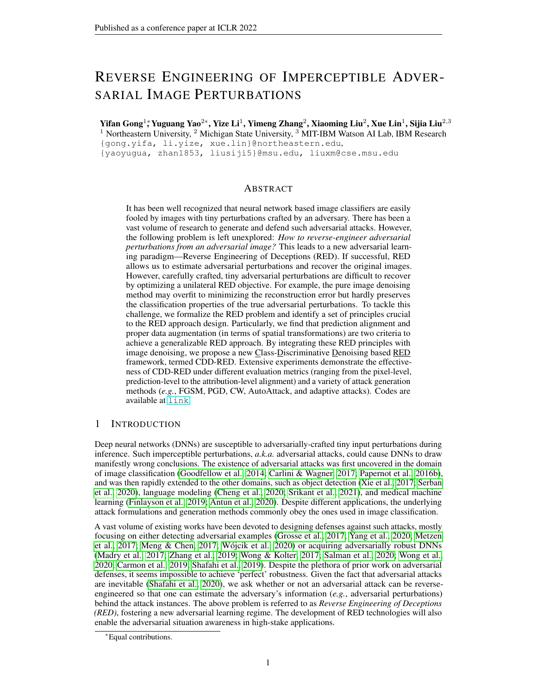To the best of our knowledge, few work studied the RED problem. The most relevant one that we are aware of is (Pang et al., 2020), which proposed the so-called query of interest (QOI) estimation model to infer the adversary's target class by model queries. However, the work (Pang et al., 2020) was restricted to the black-box attack scenario and thus lacks a general formulation of RED. Furthermore, it has not built a complete RED pipeline, which should not only provide a solution to estimating the adversarial example but also formalizing evaluation metrics to comprehensively measure the performance of RED. In this paper, we aim to take a solid step towards addressing the RED problem.

### 1.1 CONTRIBUTIONS

The main contributions of our work is listed below.

We formulate the Reverse Engineering of Deceptions (RED) problem that is able to estimate adversarial perturbations and provides the feasibility of inferring the intention of an adversary, `adversary saliency regions' of an adversarial image.

We identify a series of RED principles to effectively estimate the adversarially-crafted tiny perturbations. We nd that the class-discriminative ability is crucial to evaluate the RED performance. We also nd that data augmentatioa,g, spatial transformations, is another key to improve the RED result. Furthermore, we integrate the developed RED principles into image denoising and propose a denoiser-assisted RED approach.

We build a comprehensive evaluation pipeline to quantify the RED performance from different perspectives, such as pixel-level reconstruction error, prediction-level alignment, and attribution-level adversary saliency region recovery. With an extensive experimental study, we show that, compared to image denoising baselines, our proposal yields a consistent improvement across diverse RED evaluation metrics and attack generation methods, FGSM (Goodfellow et al., 2014), CW (Carlini & Wagner, 2017), PGD (Madry et al., 2017) and AutoAttack (Croce & Hein, 2020).

### 1.2 RELATED WORK

Adversarial attacks. Different types of adversarial attacks have been proposed, ranging from digital attacks (Goodfellow et al., 2014; Carlini & Wagner, 2017; Madry et al., 2017; Croce & Hein, 2020; Xu et al., 2019b; Chen et al., 2017a; Xiao et al., 2018) to physical attacks (Eykholt et al., 2018; Li et al., 2019; Athalye et al., 2018; Chen et al., 2018; Xu et al., 2019c). The former gives the most fundamental threat model that commonly deceives DNN models during inference by crafting imperceptible adversarial perturbations. The latter extends the former to fool the victim models in the physical environment. Compared to digital attacks, physical attacks require much larger perturbation strengths to enhance the adversary's resilience to various physical conditions such as lightness and object deformation (Athalye et al., 2018; Xu et al., 2019c).

In this paper, we focus on -norm ball constrained attacks, k.a.  $\lambda_p$  attacks, forp 2 f 1; 2; 1g , most widely-used in digital attacks. Examples include FGSM (Goodfellow et al., 2014), PGD (Madry et al., 2017), CW (Carlini & Wagner, 2017), and the recently-released attack benchmark AutoAttack (Croce & Hein, 2020). Based on the adversary's intent tacks are further divided into untargeted attacks and targeted attacks, where in contrast to the former, the latter designates the (incorrect) prediction label of a victim model. When an adversary has no access to victim models' detailed information (such as architectures and model weights) attacks can be further generalized to black-box attacks by leveraging either surrogate victim models (Papernot et al., 2017; 2016a; Dong et al., 2019; Liu et al., 2017) or input-output queries from the original black-box models (Chen et al., 2017b; Liu et al., 2019; Cheng et al., 2019).

Adversarial defenses. To improve the robustness of DNNs, a variety of approaches have been proposed to defend against attacks. One line of research focuses on enhancing the robustness of DNNs during training,e.g., adversarial training (Madry et al., 2017), TRADES (Zhang et al., 2019), randomized smoothing (Wong & Kolter, 2017), and their variants (Salman et al., 2020; Wong et al., 2020; Carmon et al., 2019; Shafahi et al., 2019; Uesato et al., 2019; Chen et al., 2020). Another line of research is to detect adversarial attacks without altering the victim model or the training process. The key technique is to differentiate between benign and adversarial examples by measuring their `distance.' Such a distance measure has been de ned in the input space via pixel-level reconstruction error (Meng & Chen, 2017; Liao et al., 2018), in the intermediate layers via neuron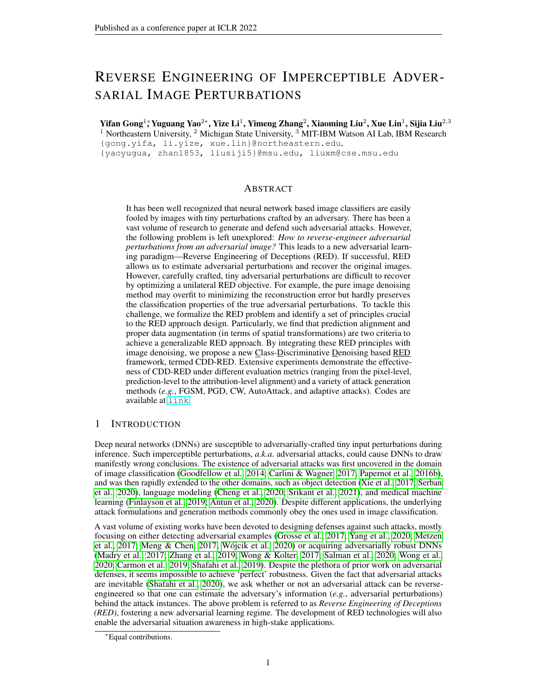activation anomalies (Xu et al., 2019a), and in the logit space by tracking the sensitivity of deep feature attributions to input perturbations (Yang et al., 2020).

In contrast to RED adversarial detection is a relatively simpler problems a roughly approximated distance possesses detection-ability (Meng & Chen, 2017; Luo et al., 2015). Among the existing adversarial defense techniques, the recently-proposed Denoised Smoothing (DS) method (Salman et al., 2020) is more related to ours. In (Salman et al., 2020), an image denoising network is prepended to an existing victim model so that the augmented system can be performed as a smoothed image classi er with certi ed robustness. Although DS is not designed for RED, its denoised output can be regarded as a benign example estimate. The promotion of classi cation stability in DS also motivates us to design the RED methods with class-discriminative ability. Thus, DS will be a main baseline approach for comparison. Similar to our RED setting, the concurrent work (Souri et al., 2021) also identi ed the feasibility of estimating adversarial perturbations from adversarial examples.

# 2 REVERSEENGINEERING OFDECEPTIONS FORMULATION AND **CHALLENGES**

In this section, we rst introduce the threat model of our interest: adversarial attacks on images. Based on that, we formalize the Reverse Engineering of Deceptions (RED) problem and demonstrate its challenges through some `warm-up' examples.

Preliminaries on threat model. We focus on  $_{p}$  attacks, where thedversary's goals to generate imperceptible input perturbations to fool a well-trained image classi er. Formally, detnote a benign image, and an additive perturbation variable. Given a victim classifeand a perturbation strength tolerance (in terms of,e.g.,  $\cdot_1$  -norm constraink  $k_1$ ), the desiredattack generation algorithmA then seeks the optimalsubject to the perturbation constraints. Such an attack generation process is denoted by=  $A(x; f; )$ , resulting in an adversarial example =  $x + .$  HereA can be ful lled by different attack methods, e.g., FGSM (Goodfellow et al., 2014), CW (Carlini & Wagner, 2017), PGD (Madry et al., 2017), and AutoAttack (Croce & Hein, 2020).

Problem formulation of RED. Different from conventional defenses to detect or reject adversarial instances (Pang et al., 2020; Liao et al., 2018; Shafahi et al., 2020; Niu et al., 2020), RED aims to address the following question.

(RED problem) Given an adversarial instance, can we reverse-engineer the adversarial perturbations, and infer the adversary's objective and knowledgg, true image class behind deception and adversary saliency image region?

Formally, we aim to recover from an adversarial example under the prior knowledge of the victim modelf or its substitute  $\alpha$  if the former is a black box. We denote the RED operation as = R(x<sup>0</sup>, f<sup>o</sup>), which covers the white-box scenario  $\epsilon$  f) as a special case. We propose to learn a parametric modelD (e.g., a denoising neural network that we will focus on) as an approximation of R through a training dataset of adversary-benignity pairs f (x<sup>0</sup>, x)g. ThroughD, RED will provide abenign example estimatex $_{\sf{RED}}\,$  and aadversarial example estimatex $_{\sf{RED}}^{\sigma}\,$  as below:

$$
x_{RED} = D (x0); x0RED = x0peturbation estimate + x; (1)
$$

where aperturbation estimate is given by subtracting the RED's output with its input, D (x<sup>0</sup>).

the former provides `detected' adversarial examples for Figure 1: Overview of RED versus AD. We highlight that RED yields a new defensive approach aiming to `diagnose' the perturbation details of an existing adversarial example in a post-hoc, forensic manner. This is different from adversarial detection (AD). Fig.1 provides a visual comparison of RED with AD. AlthoughAD is also designed in a post-hoc manner, it aims to determine whether an input is an adversarial example for a victim model based on certain statistics on model features or logits. Besides, might be used as a pre-processing step of RED, where ne-level RED diagnosis. In our experiments, we will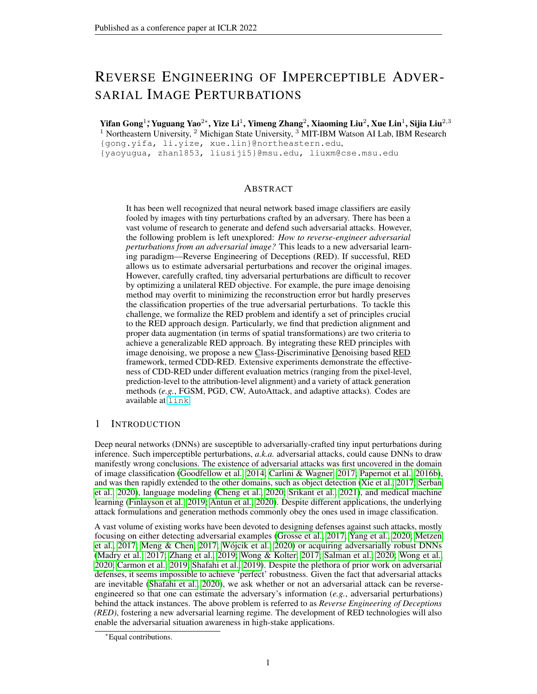also show that the outputs of RED can be leveraged to guide the design of adversarial detection. In this sense, RED and AD are complementary building blocks within a closed loop.

Challenges of RED In this work, we will specify the RED mod $\mathbf{\Phi}$  as a denoising network. However, it is highly non-trivial to design a proper denoiser for RED. Speaking at a high level, there exist two main challenges. First, unlike the conventional image denoising strategies (Zhang et al., 2017), the design of an RED-aware denoiser needs to take into account the effects of victim models and data properties of adversary-benignity pairs. Second, it might be insuf-cient to merely minimize the reconstruction error as the adversarial perturbation is nely-crafted (Niu et al., 2020). Therefore, either under- or over-denoising will lead to poor RED performance.

### 3 RED EVALUATION METRICS AND DENOISING-ONLY BASELINE

Since RED is different from existing defensive approaches, we rst develop new performance metrics of RED, ranging from pixel-level reconstruction error to attribution-level adversary saliency region. We next leverage the proposed performance metrics to demonstrate why a pure image denoiser is incapable of ful lling RED.

RED evaluation metrics. Given a learned RED mod**el**, the RED performance will be evaluated over a testing datas $\mathsf{ex}^0\!,$ x) 2 D $_{\rm test}$ ; see implementation details in Sec. 5. Hereis used as the testing input of the RED model, and is the associated ground-truth benign example for comparison. The benign example estimat $_{\sf{RED}}$  and adversarial example estima $_{\sf{RED}}$  are obtained following (1). RED evaluation pipeline is conducted from the following aspectativel-level reconstruction error,- prediction-level inference alignment, a addattribution-level adversary saliency region.

 $\hat{a}$  ¬ Pixel-levet Reconstruction error given  $\text{bd}(x; x_{\text{RED}}) = E_{(x^0; x) \text{2D test}}$  [kx<sub>RED</sub> xk<sub>2</sub>].

â - Prediction-level: Prediction alignment (A) between the pair dienignexample and its estimate ( $x_{\text{RED}}$  ; x) and PA between the pair at dversarialexample and its estima( $\alpha_{\text{RED}}^{0}$  ; x<sup>0</sup>), given by

$$
PA_{\text{benign}} = \frac{\text{card}(f(x_{\text{RED}}; x) \text{ } f(x_{\text{RED}}) = F(x) \text{ } g)}{\text{card}(D_{\text{test}})}; PA_{\text{adv}} = \frac{\text{card}(f(x_{\text{RED}}^0; x^0) \text{ } f(x_{\text{RED}}^0) = F(x^0) \text{ } g)}{\text{card}(D_{\text{test}})}
$$

wherecard() denotes a cardinality function of a set and refers to the prediction label provided by the victim modelf.

â  $\circledR$  Attribution-level : Input attribution alignment AA) between the benign paix  $_{\text{RED}}$ ; x) and between the adversarial páir $_{\sf{RED}}^0$  ; x $^0$ . In this work, we adopt GradCAM (Selvaraju et al., 2020) to attribute the predictions of classes back to input saliency regions. The rationale **Denatively** the unnoticeable adversarial perturbations (in the pixel space) can introduce an evident input attribution discrepancy with respect to (w.r.t.) the true labelnd the adversary's target label (Boopathy et al., 2020; Xu et al., 2019b). Thus, an accurate RED should be able to erase the adversarial attribution effect through R<sub>ED</sub> , and estimate the adversarial intent through the saliency region<sub>te</sub> (see Fig. 1 for illustration).

Benign example x/xRED show that how a pure image denoiser, a `mustproblem. This failure case drive us to rethink<br>the denoising strategy through the lens of RED.<br>First we obtain the denoising naturals by mix. Denoising-Only (DO) baseline. We further  $\frac{5}{8}$ try' baseline, is insuf cient of tackling the RED problem. This failure case drive us to rethink. First, we obtain the denoising network by minimizing the reconstruction error:



Figure 2: IAA of DO compared with ground-truth.

$$
minimize \quad \text{denoise} \quad (\quad ; \quad) \quad := \; E_{(x^0; x)^2} \quad \text{kD} \quad (x^0) \quad x k_1; \tag{2}
$$

where a Mean Absolute Error (MAE)-type loss is used for denoising (Liao et al., 2018), and the creation of training dataset is illustrated in Sec. 5.1. Let us then evaluate the performance of DO through the non-adversarial prediction alignm**@A**t<sub>enign</sub> andIAA . We nd thatPA<sub>benign</sub> = 42:8% for DO. And Fig. 2 shows the A performance of DO w.r.t. an input example. As we can see, DO is not capable of exactly recovering the adversarial saliency regions compared to the ground-truth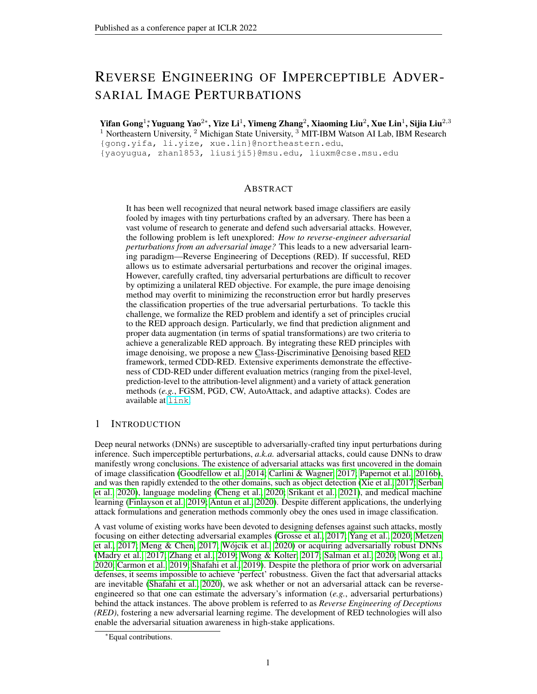adversarial perturbations. These suggest that DO-based RED lacks the reconstruction ability at the prediction and the attribution levels. Another naive approach is performing adversarial attack back tox<sup>0</sup>, yet it requires additional assumptions and might not precisely recover the ground-truth perturbations. The detailed limitations are discussed in Appendix A.

# 4 CLASS-DISCRIMINATIVE DENOISING FORRED

In this section, we propose a novellass-DiscriminativeDenoising baseRED approach termedCDD-RED; see Fig. 3 for an overview. CDD-REDcontains two key components. First, we propose aPA regularization to enforce the prediction-level stabilities of both estimated benign examplex  $_{\text{RED}}$  and adversarial example  $x_{\text{RED}}^0$  with respect to their true counterparts  $x$  and  $x^0$ , respectively. Second, we propose a data augmentation strategy to improve the RED's generalization without losing its classdiscriminative ability.

Figure 3: CDD-RED overview.

Benign and adversarial prediction alignment. To accurately estimate the adversarial perturbation from an adversarial instance, the lessons from the DO approach suggest to preserve the classdiscriminative ability of RED estimates to align with the original predictions, given by vs. x, and  $x_{\mathsf{RED}}^0$  vs.  $x^0$ . Spurred by that, the training objective **GDD-RED** is required not only to minimize the reconstruction error like (2) but also to maximize namely, `clone' the classdiscriminative ability of original data. To achieve this goal, we augment the derDiserith a known classi er  $\wedge$  to generate predictions of estimated benign and adversarial examples (see Fig. 3), i.e.,  $x_{RED}$  and $x_{RED}^0$  de ned in (1). By contrasting ( $x_{RED}$  ) with  $f'(x)$ , and  $f'(x_{RED}^0)$  with  $f'(x^0)$ , we can promote PA by minimizing the prediction gap between true examples and estimated ones:

$$
\Gamma_{\text{PA}}(k; x) = E_{(x, 0; x) \cdot 2} \left[ \Gamma_{\text{PA}}(k; x^0; x) \right]; \Gamma_{\text{PA}}(k; x^0; x) := \left[ \frac{\text{CE}(f'(x_{\text{RED}}); f'(x))}{\text{PA for being a prediction}} \right] + \left[ \frac{\text{CE}(f'(x_{\text{rep}}^0); f'(x^0))}{\text{PA for adversarial prediction}} \right]; \quad (3)
$$

where CE denotes the cross-entropy loss. To enhance the class-discriminative ability, it is desirable to integrate the denoising loss (2) with the PA regularization (3), leading  $_{\text{GSE}} + \degree_{\text{PA}}$ , where  $> 0$ is a regularization parameter. To address this issue, we will further propose a data augmentation method to improve the denoising ability without losing the advantage of PA regularization.

Proper data augmentation improves RED. The rationale behind incorporating image transformations into CDD-RED lies in two aspects. First, data transformation can make RED foveated to the most informative attack artifacts since an adversarial instance could be sensitive to input transformations (Luo et al., 2015; Athalye et al., 2018; Xie et al., 2019; Li et al., 2020; Fan et al., 2021). Second, the identi cation of transformation-resilient benign/adversarial instances may enhance the capabilitie **P**A fand IAA.

Figure 4: The in uence of different data augmentations. However, it is highly non-trivial to determine <sup>Base'</sup> refers to the base training without augmentation.

the most appropriate data augmentation operations. For example, a pixel-sensitive data transformation, e.g., Gaussian blurring and colorization, would hamper the reconstruction-ability of the original adversary-benignity pa( $\kappa^0$ , x). Therefore, we focus on spatial image transformations, including rotation, translation, cropping & padding, cutout, and CutMix (Yun et al., 2019), which keep the original perturbation in a linear way. In Fig.4, we evaluate the RED performance, in terms of pixellevel reconstruction error and prediction-level alignment accuracy, for different kinds of spatial image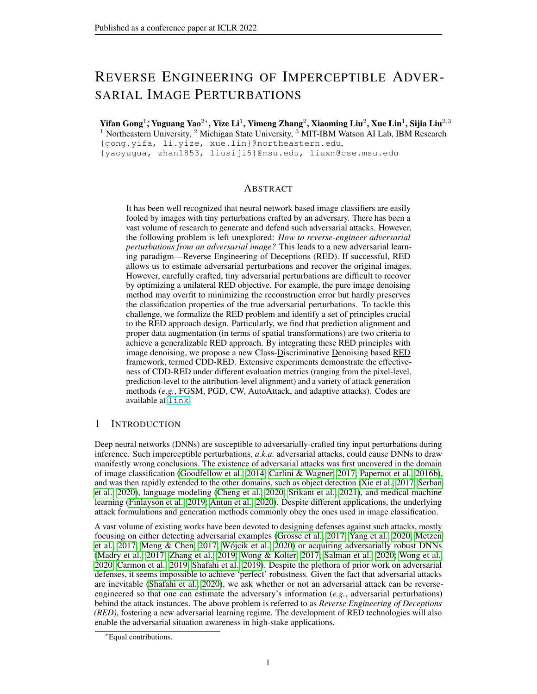transformations. As we can see, CutMix and cropping & padding can increase the both performance simultaneously, considered as the appropriate augmentation to boost the RED. Furthermore, we empirically nd that combining the two transformations can further improve the performance.

Let T denote a transformation set, including cropping & padding and CutMix operations. With the aid of the denoising loss ( $2FA$  regularization  $(3)$ , and data transformations we then cast the overall training objective of CDD-RED as

minimize 
$$
\frac{\left|F_{(x^0;x^0)}(x^0, t^0) - t(x^0)\right|}{\sum_{\text{denoise}} (2) \text{ with data augmentations}} + \frac{\left|F_{(x^0;x^0)}(x^0, t^0, t^0)\right|}{\sum_{\text{PA}} (3) \text{ with data augmentation}};
$$
 (4)

whereT denotes a properly-selected subseT  $\phi$  and  $>0$  is a regularization parameter. In the regularizer (4), we need to avoid the scenario of over-transformation where data augmentation alters the classi er's original decision. This suggests ft 2 T j  $\mathbf{f}^{\mathsf{A}}(t(x)) = \mathbf{f}^{\mathsf{A}}(x)$ ;  $\mathbf{f}^{\mathsf{A}}(t(x^0)) = \mathbf{f}^{\mathsf{A}}(x^0)$  g, where $\hat{\mathsf{F}}$  represents the prediction label of the pre-trained class $\hat{\mathsf{n}},$ ène.,  $\hat{\mathsf{F}}(\cdot)$  = argmax(  $\hat{\mathsf{f}}(\cdot)$ ).

### 5 EXPERIMENTS

We show the effectiveness of our proposed method in spectsa) reconstruction error of adversarial perturbation inversion,e.,d(x;  $x_{\text{RED}}$ ), b) class-discriminative ability of the benign and adversarial example estimate,e., PA<sub>benian</sub> andPA<sub>adv</sub> by victim models,c) adversary saliency region recovery, i.e., attribution alignment, and) RED evaluation over unseen attack types and adaptive attacks.

### 5.1 EXPERIMENT SETUP

Attack datasets. To train and test RED models, we generate adversarial examples on the ImageNet dataset (Deng et al., 2009). We considenttack methodsincluding PGD (Madry et al., 2017), FGSM (Goodfellow et al., 2014), and CW attack (Carlini & Wagner, 2017), applied to both including pre-trained ResNet18 (Res18), Resnet50 (Res50) (He et al., 2015), VGG16, VGG19, and InceptionV3 (IncV3) (Szegedy et al., 2015). The detailed parameter settings can be found in Appendix B. Furthermore, to evaluate the RED performance on unseen perturbation types during training, additional 2K adversarial examples generated ut pAttack (Croce & Hein, 2020) and 1K adversarial examples generated Fingture Attack (Sabour et al., 2015) are included as the unseen testing dataset. AutoAttack is applied on VGG19, Res50twoochew victim models i.e., Alexet and Robust Resnet50 (R-Res50), via fast adversarial training (Wong et al., 2020) while Feature Attack is applied on VGG19 and Alexnet. The rational behind considering Feature Attack is that feature adversary has been recognized as an effective way to circumvent adversarial detection (Tramer et al., 2020). Thus, it provides a supplement on detection-aware attacks.

RED model con guration, training and evaluation. During the training of the RED denoisers, VGG19 (Simonyan & Zisserman, 2015) is chosen as the pretrained classicumPA regularization. Although different victim models were used for generating adversarial examples, we will show that the inference guided by VGG19 is able to accurately estimate the true image class and the intent of the adversary. In terms of the architecture Dof, DnCNN (Zhang et al., 2017) is adopted. The RED problem is solved using an Adam optimizer (Kingma & Ba, 2015) with the initial learning rate of 10  $<sup>4</sup>$ , which decays 0 times for every 40 training epochs. In (4), the regularization parameter</sup> set as0:025. The transformations for data augmentation include CutMix and cropping & padding. The maximum number of training epochs is se800. The computation cost and ablation study of CDD-RED are in Appendix D and E, respectively.

Baselines. We compareCDD-RED with two baseline approaches) the conventional denoisingonly (DO) approach with the objective function (2); The state-of-the-art Denoised Smoothing (DS) (Salman et al., 2020) approach that considers both the reconstruction error and the Panenign examples in the objective function. Both methods are tuned to their best con gurations.

### 5.2 MAIN RESULTS

Reconstruction error  $d(x; x_{RED})$  and PA. Table 1 presents the comparison  $GBD$ -RED with the baseline denoising approaches in terms( $\texttt{wf}$ x $_{\sf{RED}}$  ), d(f (x); f (x $_{\sf{RED}}$  )), d(f (x $^0$ ); f (x $^0_{\sf{RED}}$  )),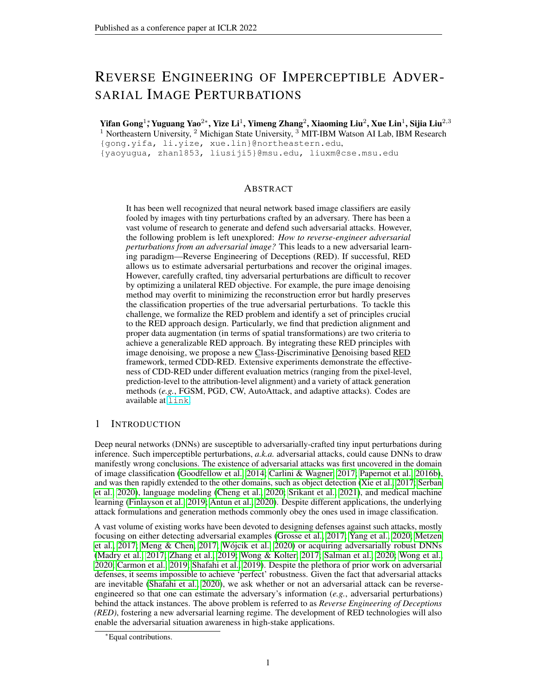$PA<sub>benion</sub>$ , and  $PA<sub>adv</sub>$  on the testing dataset. As we can see, our approach (RED) improves the class-discriminative ability from benign perspective by 42.91% and adversarial perspective by 8.46% with a slightly larger reconstruction error compared with the DO approach. In contrast to DS, CDD-RED achieves similar Penton

but improved pixel-level denoising error a**Ra<sub>adv</sub> . F**ur- Table 1:The performance comparison among thermore,CDD-RED achieves the best logit-level reconDO, DS andCDD-RED on the testing dataset.

struction error for both  $(x_{\mathsf{RED}})$  andf  $(x_{\mathsf{RED}}^0)$  among the three approaches. This implies that  $E_D$  rendered by CDD-RED can achieve highly similar prediction the true benign example, and the perturbation estimation  $x^0$  x<sub>RED</sub> yields a similar misclassi cation effect to the

| …–  |                                           |        |        |                |
|-----|-------------------------------------------|--------|--------|----------------|
|     |                                           | DO     | DS     | <b>CDD-RED</b> |
|     | $d(x; x_{RED})$                           | 9.32   | 19.19  | 13.04          |
|     | $\overline{d(f(x);f(x_{RED}))}$           | 47.81  | 37.21  | 37.07          |
| t٥  | $\overrightarrow{d(f(x^0);f(x^0_{RED}))}$ | 115.09 | 150.02 | 78.21          |
|     | <b>PA</b> benign                          | 42.80% | 86.64% | 85.71%         |
|     | $PA_{\text{adv}}$                         | 71.97% |        |                |
| ιte |                                           |        | 72.47% | 80.43%         |

ground-truth perturbation. Besid&DD-RED is robust against attacks with different hyperparameters settings, details can be found in Appendix F.

|                                                 | Input image | $1$ (; y) | $\mathsf{DO}$<br>$1$ (; $y^0$ ) | DS<br>$1$ (; y) | $1$ (; $y^0$ ) | CDD-RED (ours)<br>$1$ (; y) | $\overline{1}$ (; y <sup>o</sup> ) | $1$ (; y) | Groundtruth<br>$1$ (; $y^0$ ) |
|-------------------------------------------------|-------------|-----------|---------------------------------|-----------------|----------------|-----------------------------|------------------------------------|-----------|-------------------------------|
| Benign example<br>X/XRED                        |             |           |                                 |                 |                |                             |                                    |           |                               |
| Adv. example<br>x <sup>9</sup> X <sub>RED</sub> |             |           |                                 |                 |                |                             |                                    |           |                               |

Figure 5: Interpretation () of benign  $\frac{k}{x_{RED}}$  ) and adversarialx $\frac{m}{x_{RED}}$  ) image w.r.t. the true label y=`ptarmigan' and the adversary targeted label shower curtain'. We compare three methods of RED training, DO, DS, andCDD-RED as our method, to the ground-truth interpretation. Given an RED method, the rst column isl (x $_{\sf{RED}}$  ; y) versusl (x $_{\sf{RED}}^0$  ; y), the second column **is**(x $_{\sf{RED}}$  ; y $^0$ ) versusl (x $_{\sf{RED}}^0$  ; y $^0$ ), and all maps under each RED method are normalized w.r.t. their largest value. For the ground-truth, the rst columnyis versusl  $(x^0; y)$ , the second column  $\mathbf{ls}(x; y^0)$  versusl  $(x^0; y^0)$ .

Attribution alignment. In addition to pixel-level alignment and prediction-level alignment to evaluate the RED performance, attribution alignment is examined in what follows. Fig. 5 presents attribution maps generated by GradCAM in term ${\sf s}$  (x, y), I (x $^0$ , y), I (x, y $^0$ ), andI (x $^0$ , y $^0$ ), where  $x^0$  denotes the perturbed versionxofandy<sup>0</sup> is the adversarially targeted label. From left to right is the attribution map over DO, DS, DD-RED (our method), and the ground-truth. Compared with DO and DS,CDD-REDyields a closer attribution alignment with the ground-truth especially when making a comparison betweb  $(x_{\text{RED}}; y)$  and  $(x; y)$ . At the dataset level, Fig. 6 shows the distribution of attribution IoU scores. It is observed that the IoU distribution DDD-RED, compared with DO and DS, has a denser concentration over the high-value area, corresponding to closer alignment with the attribution map by the adversary. This feature indicates an interesting application of the proposed RED approach, which is to achieve the recovery of adversary's saliency region, in terms of the class-discriminative image regions that the adversary focused on.



Figure 6:IoU distributions of the attribution alignment by three RED methods. Higher IoU is better. For each sub gure, the four IoU scores standingl**idu**( x $_{\sf RED}$  ; x; y), IoU( x $_{\sf RED}$  ; x; y<sup>0</sup>), IoU(  $\rm\bar{x}_{\sf RED}^{0}$  ; x $\rm\overset{0}{,}$  y), and  $IoU(x_{\mathsf{RED}}^0; x^0; y^0).$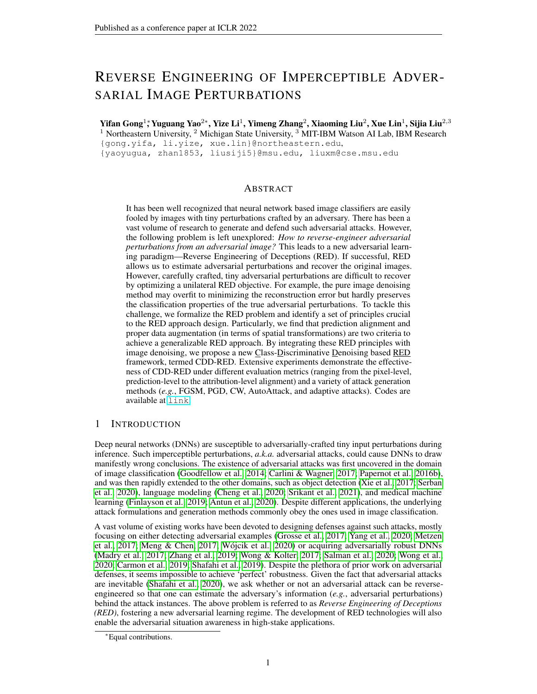(a) Accuracy of  $R_{\rm BI}^{\rm QD}$ 

 $R_{\text{RED}}^{\text{op}}$  (b) Success rate of  $R_{\text{RED}}^{\text{op}}$ 

(c) d(f  $(x_{\text{RED}}^{\text{cp}})$ ; f  $(x)$ ) (d) d(x 0p RED ; x) Figure 7: Reverse engineer partially-perturbed data under different interpolation pprtion

RED vs. unforeseen attack types. The experiments on the recovery of unforeseen attack types are composed of two partsa) partially-perturbed data via linear interpolation, and the unseen attack type, AutoAttack, Feature Attack, and Adaptive Attack. More attack results including adversarial attacks on CIFAR-10 dataset, Wasserstein minimized attacks, and attacks on smoothed classi ers can be found in Appendix C.

First, we construct partially-perturbed data by adding a portian  $10\%$ ;  $20\%$  ; 100%g of the perturbationx<sup>0</sup> x to the true benign example namely,  $x^{\varphi} = x + p(x^0 x)$ . The interpolated  $\mathsf{x}^{\mathsf{p}}$  is then used as the input to an RED model. We aim to investigate whether or not the proposed RED method can recover partial perturbations (even not successful attacks).

Fig. 7 (a) and (b) show the the prediction alignment with ndy<sup>0</sup>, of the adversarial example estimate  $x_{RED}^{qp} = x^{qp}$   $\dot{D}$   $(x^{qp}) + x$  by different RED models. Fig. 7 (c) shows the logit distance between the prediction of the partially-perturbed adversarial example estimate and the prediction of the benign example while Fig. 7 (d) demonstrates the pixel distance betw $\frac{p}{\mathsf{Rep}}$  and the benign example.

First, a smaller gap between the ground-truth curve (in red) and the adversarial example estimate  $x_{\rm red}^{\rm dp}$  curve indicates a better performance. Fig. 7 (a) and (b) show ODD: RED estimates the closest adversary's performance to the ground truth in terms of the prediction accuracy and attack success rate. This is also veri ed by the distance of prediction logits in Fig. 7 (c). Fig. 7 (d) shows that DS largely over-estimates the additive perturbation, wanned RED maintains the perturbation estimation performance closest to the ground truth. Though DO is closer to the ground-truth than CDD-REDat p < 40%, DO is not able to recover a more precise adversarial perturbation in terms of other performance metrics. For example, in Fig. 7 (b) at p = $\chi_{\sf RED}^{\sf fp}$  by DO achieves a lower successful attack rate compared to CDD-RED and the ground-truth.

Table 2: The d(x;  $x_{\text{RED}}$  ), PA $_{\text{benign}}$  , and PA $_{\text{adv}}$  performance of the denoisers on the unforeseen perturbation type AutoAttack, Feature Attack, and Adaptive Attack. Moreover, as for benign examples with p = 0% perturbations, though the RED denoiser does not see benign example

| pair $(x, x)$ during training, it keeps the $=$                                      |                        |           |         |        |  |  |  |
|--------------------------------------------------------------------------------------|------------------------|-----------|---------|--------|--|--|--|
|                                                                                      | DO                     | DS        | CDD-RED |        |  |  |  |
| performance of the benign example re-                                                | AutoAttack             | 6.41      | 16.64   | 8.81   |  |  |  |
| covery. CDD-RED can handle the case $d(x; x_{RED})$                                  | <b>Feature Attack</b>  | 5.51      | 16.14   | 7.99   |  |  |  |
| with a mixture of adversarial and benign                                             | <b>Adaptive Attack</b> | 9.76      | 16.21   | 12.24  |  |  |  |
|                                                                                      | AutoAttack             | 84.69%    | 92.64%  | 94.58% |  |  |  |
| examples. That is to say, even if a be-<br>nign example, detected as adversarial, is | <b>Feature Attack</b>  | 82.90%    | 90.75%  | 93.25% |  |  |  |
|                                                                                      | Adaptive Attack        | 33.20%    | 27.27%  | 36.29% |  |  |  |
| wrongly fed into the RED framework,                                                  | AutoAttack             | 85.53%    | 83.30%  | 88.39% |  |  |  |
| our method can recover the original per-<br>$PA_{\text{adv}}$                        | <b>Feature Attack</b>  | 26.97%    | 35.84%  | 63.48% |  |  |  |
| turbation close to the ground truth. See                                             | Adaptive Attack        | $51.21\%$ | 55.41%  | 57.11% |  |  |  |
| Appendix G for details.                                                              |                        |           |         |        |  |  |  |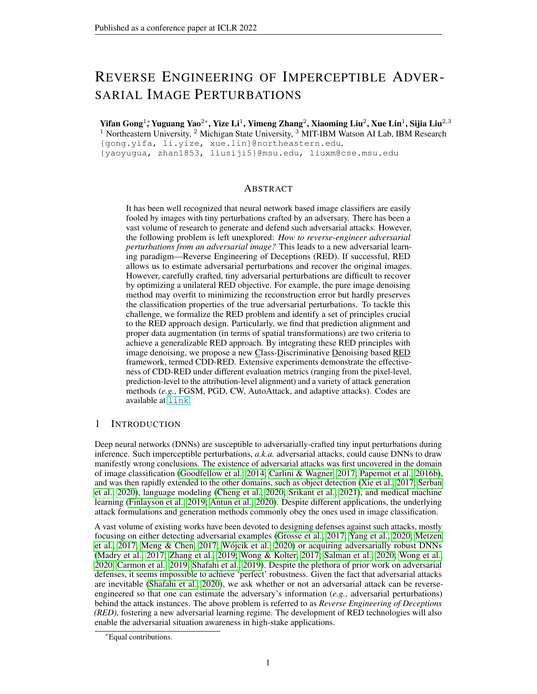Table 2 shows the RED performance on the unseen attack type, AutoAttack, Feature Attack, and Adaptive Attack. For AutoAttack and Feature AttaCADD-RED outperforms both DO and DS in terms of PA from both benign and adversarial perspectives. Speci **ലിഡ**, RED increases the PA<sub>ady</sub> for Feature Attack by 36.51% and 27.64% compared to DO and DS, respectively.

As for the adaptive attack (Tramer et al., 2020), we assume that the attacker has access to the knowledge of the RED model, $e$ ,  $D$ . It can then perform the PGD attack method to generate successful prediction-evasion attacks even after taking the RED operation.

We use PGD methods to generate such attacks within the all of perturbation radius =  $20=255$ . Table 2 shows that Adaptive Attack is much stronger than Feature Attack and AutoAttack, leading to larger reconstruction error and lower PA. Howe CEDD-RED still outperforms DO and DS in  $PA<sub>benion</sub>$  and  $PA<sub>adv</sub>$ . Compared to DS, it achieves a better trade-off with denoising  $df(x)_{KED}$ .

In general,CDD-REDcan achieve high PA even for unseen attacks, indicating the generalizationability of our method to estimate not only new adversarial examples (generated from the same attack method), but also new attack types.

RED to infer correlation between adversaries. In what follows, we investigate whether the RED model guided by the single classi er (VGG19) enables to identify different adversary classes, given by combinations of attack types (FGSM, PGD, CW) and victim model types (Res18, Res50, VGG16, VGG19, IncV3).

Fig. 8 presents the correlation between every two adversary classes in the logit space. Fig. 8 (a) shows the ground-truth correlation map. Fig. 8 (b) shows correlations between logits of x<sup>0</sup><sub>RED</sub> estimated by our RED method (CDD-RED) and logits of the true  $x^0$ .

### (a) Groundtruth (b) CDD-RED (ours)

Along the diagonal of Figure 8: Correlation matrices between different adversaries. For each coreach correlation matrix, relation matrix, rows and columns represent adversarial example estimate  $x_{\mathsf{RED}}^0$  and true adversarial example (For the ground-truth correlation matrix,  $x_{\text{RED}}^0 = x^0$ . Each entry represents the average Spearman rank correlation the same adversary classetween the logits of two adversary setting (victim model, attack type)}. the darker implies the better RED estimation under By peering into off-diagonal entries, we nd that FGSM attacks are more resilient to the choice of a

victim model (see the cluster of high correlation values at the top left corner of Fig. 8). Meanwhile, the proposedCDD-REDprecisely recovers the correlation behavior of the true adversaries. Such a correlation matrix can help explain the similarities between different attacks' properties. Given an inventory of existing attack types, if a new attack appears, then one can resort to RED to estimate the correlations between the new attack type and the existing attack types. Based on the correlation screening, it can infer the properties of the new attack type based on its most similar counterpart in the existing attack library; see Appendix I.2. Inspired by the correlation, RED-synthesized perturbations can also be used as a transfer attack as well; see Appendix H.

Other applications of RED. In Appendix I, we also empirically show that the proposed RED approach can be applied to adversarial detection, attack identity inference, and adversarial defense.

### 6 CONCLUSION

In this paper, we study the problem of Reverse Engineering of Deceptions (RED), to recover the attack signature  $g$ (g. adversarial perturbations and adversary saliency regions) from an adversarial instance. To the best of our knowledge, RED has not been well studied. Our work makes a solid step towards formalizing the RED problem and developing a systematic pipeline, covering not only a solution but also a complete set of evaluation metrics. We have identi ed a series of RED principles, ranging from the pixel level to the attribution level, desired to reverse-engineer adversarial attacks. We have developed an effective denoiser-assisted RED approach by integrating class-discrimination and data augmentation into an image denoising network. With extensive experiments, our approach outperforms the existing baseline methods and generalizes well to unseen attack types.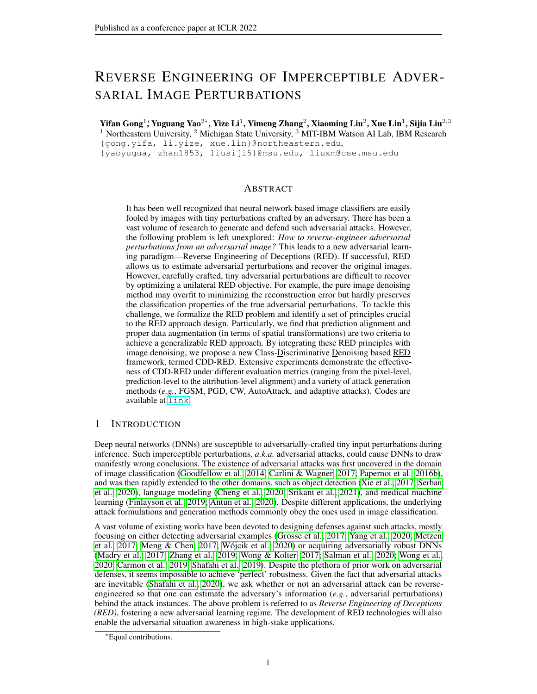### ACKNOWLEDGMENT

The work is supported by the DARPA RED program. We also thank the MIT-IBM Watson AI Lab, IBM Research for supporting us with GPU computing resources.

### **REFERENCES**

- Vegard Antun, Francesco Renna, Clarice Poon, Ben Adcock, and Anders C Hansen. On instabilities of deep learning in image reconstruction and the potential costs Draiteedings of the National Academy of Science 2020.
- A. Athalye, L. Engstrom, A. Ilyas, and K. Kwok. Synthesizing robust adversarial examples. In International Conference on Machine Learning (ICMPD18.
- Akhilan Boopathy, Sijia Liu, Gaoyuan Zhang, Cynthia Liu, Pin-Yu Chen, Shiyu Chang, and Luca Daniel. Proper network interpretability helps adversarial robustness in classi cationtelmational Conference on Machine Learning (ICMI2020.
- Nicholas Carlini and David Wagner. Towards evaluating the robustness of neural netwd ESEIn Symposium on Security and Privacy (S&PEE, 2017.
- Yair Carmon, Aditi Raghunathan, Ludwig Schmidt, John C Duchi, and Percy S Liang. Unlabeled data improves adversarial robustness Advances in Neural Information Processing Systems (NeurlPS) 2019.
- Pin-Yu Chen, Yash Sharma, Huan Zhang, Jinfeng Yi, and Cho-Jui Hsieh. Ead: elastic-net attacks to deep neural networks via adversarial examptexiv, 2017a.
- Pin-Yu Chen, Huan Zhang, Yash Sharma, Jinfeng Yi, and Cho-Jui Hsieh. Zoo: Zeroth order optimization based black-box attacks to deep neural networks without training substitute models. In Proceedings of the ACM Workshop on Arti cial Intelligence and Security M, 2017b.
- Shang-Tse Chen, Cory Cornelius, Jason Martin, and Duen Horng Polo Chau. Shapeshifter: Robust physical adversarial attack on faster r-cnn object detector. European Conference on Machine Learning and Knowledge Discovery in Databases (ECMb) inger, 2018.
- T. Chen, S. Liu, S. Chang, Y. Cheng, L. Amini, and Z. Wang. Adversarial robustness: From selfsupervised pretraining to ne-tuning. IEEE/CVF Conference on Computer Vision and Pattern Recognition (CVPR)2020.
- Minhao Cheng, Simranjit Singh, Patrick Chen, Pin-Yu Chen, Sijia Liu, and Cho-Jui Hsieh. Sign-opt: A query-ef cient hard-label adversarial attack. Xiv, 2019.
- Minhao Cheng, Jinfeng Yi, Pin-Yu Chen, Huan Zhang, and Cho-Jui Hsieh. Seq2sick: Evaluating the robustness of sequence-to-sequence models with adversarial examples electings of the AAAI Conference on Arti cial Intelligence (AAAI2020.
- Jeremy Cohen, Elan Rosenfeld, and Zico Kolter. Certi-ed adversarial robustness via randomized smoothing. In International Conference on Machine Learning p. 1310–1320. PMLR, 2019.
- Francesco Croce and Matthias Hein. Reliable evaluation of adversarial robustness with an ensemble of diverse parameter-free attacks. International Conference on Machine Learning (ICML) PMLR, 2020.
- Jia Deng, Wei Dong, Richard Socher, Li-Jia Li, Kai Li, and Li Fei-Fei. Imagenet: A large-scale hierarchical image database. Computer Vision and Pattern Recognition 009.
- Yinpeng Dong, Tianyu Pang, Hang Su, and Jun Zhu. Evading Defenses to Transferable Adversarial Examples by Translation-Invariant Attacks. **COVPR** 2019.
- K. Eykholt, I. Evtimov, E. Fernandes, B. Li, A. Rahmati, C. Xiao, A. Prakash, T. Kohno, and D. Song. Robust physical-world attacks on deep learning visual classi catid mobreedings of the Conference on Computer Vision and Pattern Recognition (C) 272RRB.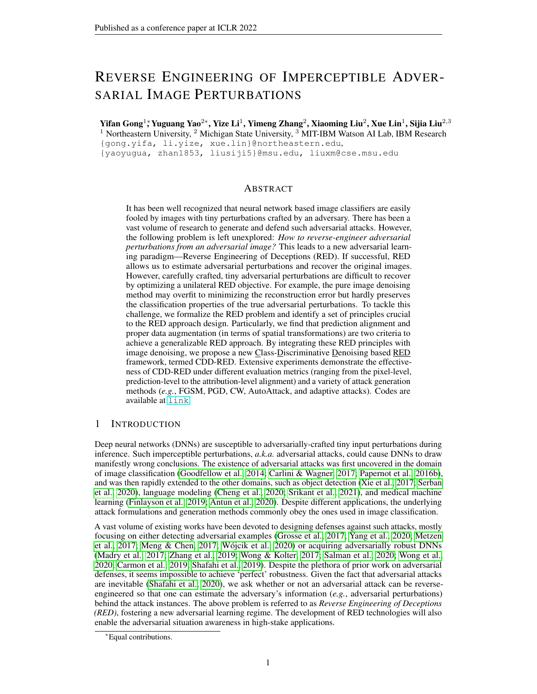- Lijie Fan, Sijia Liu, Pin-Yu Chen, Gaoyuan Zhang, and Chuang Gan. When does contrastive learning preserve adversarial robustness from pretraining to netuning ances in Neural Information Processing System<sup>34</sup>, 2021.
- Samuel G Finlayson, John D Bowers, Joichi Ito, Jonathan L Zittrain, Andrew L Beam, and Isaac S Kohane. Adversarial attacks on medical machine learnbot persons (6433):1287–1289, 2019.
- Ian J Goodfellow, Jonathon Shlens, and Christian Szegedy. Explaining and harnessing adversarial examples.arXiv preprint arXiv:1412.65722014.
- Kathrin Grosse, Praveen Manoharan, Nicolas Papernot, Michael Backes, and Patrick McDaniel. On the (statistical) detection of adversarial examples iv preprint arXiv:1702.062802017.
- Kaiming He, Xiangyu Zhang, Shaoqing Ren, and Jian Sun. Deep residual learning for image recognition.CoRR, 2015.
- Diederik P. Kingma and Jimmy Ba. Adam: A method for stochastic optimizatiomternational Conference on Learning Representations (ICLAR) 5.
- Juncheng Li, Frank Schmidt, and Zico Kolter. Adversarial camera stickers: A physical camera-based attack on deep learning systems. In ternational Conference on Machine Learning (ICMP019.
- Qizhang Li, Yiwen Guo, and Hao Chen. Practical no-box adversarial attacks agains Advasses in Neural Information Processing Systems (Neurl<sup>266</sup>20.
- Fangzhou Liao, Ming Liang, Yinpeng Dong, Tianyu Pang, Xiaolin Hu, and Jun Zhu. Defense against Adversarial Attacks Using High-Level Representation Guided Denois (iv:1712.02976 [cs] May 2018.
- Sijia Liu, Pin-Yu Chen, Xiangy Chen, and Mingyi Hong. signSGD via zeroth-order oracle. In International Conference on Learning Representations (ICDR) 9.
- Yanpei Liu, Xinyun Chen, Chang Liu, and Dawn Song. Delving into Transferable Adversarial Examples and Black-box AttackarXiv:1611.02770 [cs] February 2017.
- Yan Luo, Xavier Boix, Gemma Roig, Tomaso Poggio, and Qi Zhao. Foveation-based mechanisms alleviate adversarial examples. Xiv preprint arXiv: 1511.0629, 2015.
- Aleksander Madry, Aleksandar Makelov, Ludwig Schmidt, Dimitris Tsipras, and Adrian Vladu. Towards deep learning models resistant to adversarial attacks. preprint arXiv:1706.06083 2017.
- Dongyu Meng and Hao Chen. Magnet: a two-pronged defense against adversarial examibles. In Conference on Computer and Communications Security (CACSVI, 2017.
- Jan Hendrik Metzen, Tim Genewein, Volker Fischer, and Bastian Bischoff. On detecting adversarial perturbations arXiv preprint arXiv: 1702.0426, 72017.
- Zhonghan Niu, Zhaoxi Chen, Linyi Li, Yubin Yang, Bo Li, and Jinfeng Yi. On the Limitations of Denoising Strategies as Adversarial Defensexiv:2012.09384 [cs]2020.
- Ren Pang, Xinyang Zhang, Shouling Ji, Xiapu Luo, and Ting Wang. Advmind: Inferring adversary intent of black-box attacks. Ithe International Conference on Knowledge Discovery & Data Mining (KDD), 2020.
- Nicolas Papernot, Patrick McDaniel, and Ian Goodfellow. Transferability in Machine Learning: from Phenomena to Black-Box Attacks using Adversarial Samabisiv:1605.07277 [cs]2016a.
- Nicolas Papernot, Patrick McDaniel, Somesh Jha, Matt Fredrikson, Z Berkay Celik, and Ananthram Swami. The limitations of deep learning in adversarial setting. Effereuropean Symposium on Security and Privacy (EuroS&P) EEE, 2016b.
- Nicolas Papernot, Patrick McDaniel, Ian Goodfellow, Somesh Jha, Z. Berkay Celik, and Ananthram Swami. Practical Black-Box Attacks against Machine Learning (iv:1602.02697 [cs] 2017.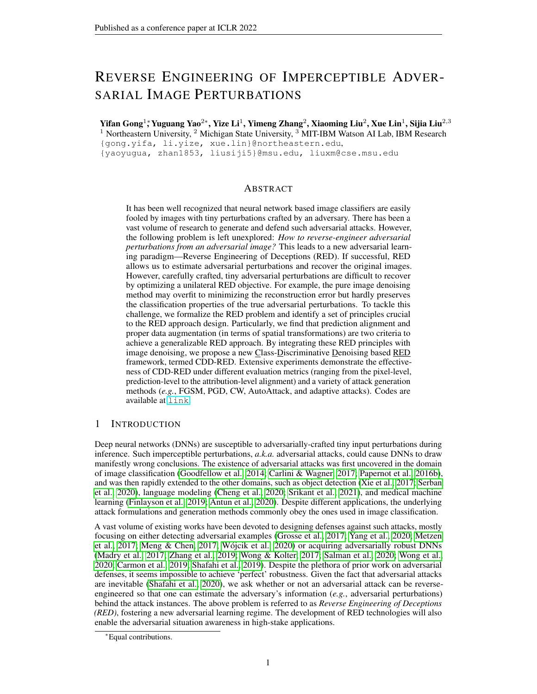- Sara Sabour, Yanshuai Cao, Fartash Faghri, and David J Fleet. Adversarial manipulation of deep representationsarXiv preprint arXiv:1511.0512, 2015.
- Hadi Salman, Mingjie Sun, Greg Yang, Ashish Kapoor, and J Zico Kolter. Denoised smoothing: A provable defense for pretrained classi ers. Advances in Neural Information Processing Systems (NeurlPS) 2020.
- Ramprasaath R. Selvaraju, Michael Cogswell, Abhishek Das, Ramakrishna Vedantam, Devi Parikh, and Dhruv Batra. Grad-CAM: Visual Explanations from Deep Networks via Gradient-based Localization. International Journal of Computer Visio@020.
- Alex Serban, Erik Poll, and Joost Visser. Adversarial examples on object recognition: A comprehensive survey.ACM Computing Surveys (CSURSB(3):1-38, 2020.
- Ali Shafahi, Mahyar Najibi, Mohammad Amin Ghiasi, Zheng Xu, John Dickerson, Christoph Studer, Larry S Davis, Gavin Taylor, and Tom Goldstein. Adversarial training for free Adwances in Neural Information Processing Systems (NeurIPS6)19.
- Ali Shafahi, W. Ronny Huang, Christoph Studer, Soheil Feizi, and Tom Goldstein. Are adversarial examples inevitable  $\lambda$ iv:1809.02104 [cs, stat]February 2020.
- Karen Simonyan and Andrew Zisserman. Very Deep Convolutional Networks for Large-Scale Image Recognition. InInternational Conference on Learning Representations (ICDR) 5.
- Hossein Souri, Pirazh Khorramshahi, Chun Pong Lau, Micah Goldblum, and Rama Chellappa. Identi cation of attack-speci c signatures in adversarial examplasXiv preprint arXiv:2110.06802 2021.
- Shashank Srikant, Sijia Liu, Tamara Mitrovska, Shiyu Chang, Quanfu Fan, Gaoyuan Zhang, and Una-May O'Reilly. Generating adversarial computer programs using optimized obfuscations. In International Conference on Learning Representations (ICDB21.
- Christian Szegedy, Vincent Vanhoucke, Sergey Ioffe, Jonathon Shlens, and Zbigniew Wojna. Rethinking the inception architecture for computer visi@oRR 2015.
- Florian Tramer, Nicholas Carlini, Wieland Brendel, and Aleksander Madry. On adaptive attacks to adversarial example defenses. Xiv preprint arXiv: 2002.0834, 72020.
- Jonathan Uesato, Jean-Baptiste Alayrac, Po-Sen Huang, Robert Stanforth, Alhussein Fawzi, and Pushmeet Kohli. Are labels required for improving adversarial robustness? Nale Information Processing Systems (NeurlPS019.
- Bartosz Wójcik, Pawe Morawiecki, Marekmieja, Tomasz Krzyek, Przemys aw Spurek, and Jacek Tabor. Adversarial examples detection and analysis with layer-wise autoencadiscorperint arXiv:2006.100132020.
- Eric Wong and J Zico Kolter. Provable defenses against adversarial examples via the convex outer adversarial polytopearXiv preprint arXiv:1711.0085,12017.
- Eric Wong, Frank Schmidt, and Zico Kolter. Wasserstein adversarial examples via projected sinkhorn iterations. InInternational Conference on Machine Learning 0.6808-6817. PMLR, 2019.
- Eric Wong, Leslie Rice, and J. Zico Kolter. Fast is better than free: Revisiting adversarial training. In International Conference on Learning Representations (ICLB20.
- Chaowei Xiao, Jun-Yan Zhu, Bo Li, Warren He, Mingyan Liu, and Dawn Song. Spatially transformed adversarial examples. International Conference on Learning Representations (ICLR) 8.
- Cihang Xie, Jianyu Wang, Zhishuai Zhang, Yuyin Zhou, Lingxi Xie, and Alan Yuille. Adversarial examples for semantic segmentation and object detection. **In Proceedings of the IEEE International** Conference on Computer Vision (ICC\2) 017.
- Cihang Xie, Zhishuai Zhang, Yuyin Zhou, Song Bai, Jianyu Wang, Zhou Ren, and Alan L Yuille. Improving transferability of adversarial examples with input diversity. Proceedings of the IEEE/CVF Conference on Computer Vision and Pattern Recognition (C) 279R9.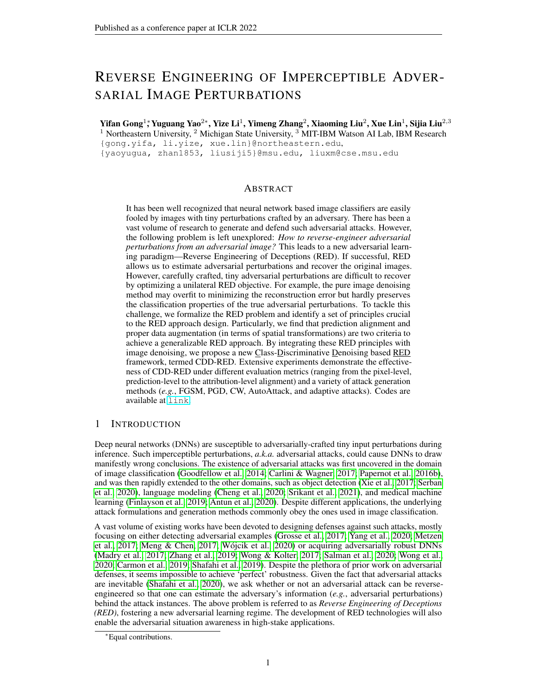- Kaidi Xu, Sijia Liu, Gaoyuan Zhang, Mengshu Sun, Pu Zhao, Quanfu Fan, Chuang Gan, and Xue Lin. Interpreting adversarial examples by activation promotion and suppression. preprint arXiv:1904.020572019a.
- Kaidi Xu, Sijia Liu, Pu Zhao, Pin-Yu Chen, Huan Zhang, Quanfu Fan, Deniz Erdogmus, Yanzhi Wang, and Xue Lin. Structured adversarial attack: Towards general implementation and better interpretability. InInternational Conference on Learning Representations (ICLR) 9b.
- Kaidi Xu, Gaoyuan Zhang, Sijia Liu, Quanfu Fan, Mengshu Sun, Hongge Chen, Pin-Yu Chen, Yanzhi Wang, and Xue Lin. Evading real-time person detectors by adversarial t-ahXtiv preprint arXiv:1910.110992019c.
- Puyudi Yang, Jianbo Chen, Cho-Jui Hsieh, Jane-Ling Wang, and Michael Jordan. Ml-loo: Detecting adversarial examples with feature attribution. Plroceedings of the AAAI Conference on Arti cial Intelligence (AAAI) 2020.
- Sangdoo Yun, Dongyoon Han, Seong Joon Oh, Sanghyuk Chun, Junsuk Choe, and Youngjoon Yoo. Cutmix: Regularization strategy to train strong classi ers with localizable features to breedings of the IEEE/CVF International Conference on Computer Vision 6023–6032, 2019.
- Hongyang Zhang, Yaodong Yu, Jiantao Jiao, Eric P Xing, Laurent El Ghaoui, and Michael I Jordan. Theoretically principled trade-off between robustness and acculrate prational Conference on Machine Learning (ICML)2019.
- Kai Zhang, Wangmeng Zuo, Yunjin Chen, Deyu Meng, and Lei Zhang. Beyond a Gaussian Denoiser: Residual Learning of Deep CNN for Image Denoising EE Transactions on Image Processing 2017.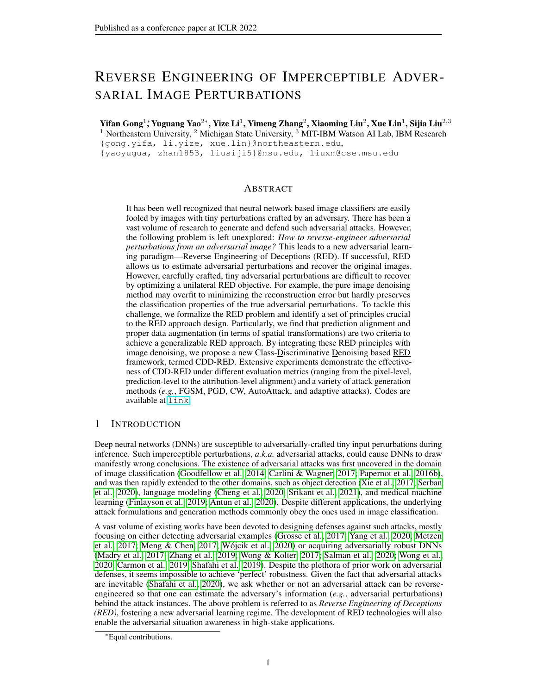# A RED BY PGDATTACK : PERFORMINGPGDBACK TO THE TRUE CLASS

A naive approach to reverse engineer the adversarial perturbation is using the target PGD attack to revert the label back to the groundtruth. However, this requires additional assumptions. First, since PGD is a test-time deterministic optimization approach for perturbation generation, its targeted implementation requires the true class of the adversarial example, which could be unknown at testing time. What is more, one has to pre-de ne the perturbation budtort PGD. This value is also unknown. Second, performing PGD back to the true class might not exactly recover the ground-truth adversarial perturbations. By contrast, its RED counterpart could be over-perturbed. To make it more convincing, we applied the target PGD attack method to adversarial examples generated by PGD (assuming true class, victim model, and attack budget are known). We tried various PGD settings (PGD10<sub>-10-255</sub> refers to PGD attack using 10 steps and 10=255). Eventually, we compare these results to our CDD-RED method in Table A1.

Given that the average reconstruction error betweandx $0$  is 20.60, we can see from Table A1 that PGD attacks further enlarge the distortion from the clean data. Although PGD attacks can achieve high accuracy after reverting the adversarial data back to their true labels, the resulting perturbation estimate is far from the ground-truth in terms of their prediction alignment. We can tell from the low PA<sub>adv</sub> by PGD methods that $_{\mathsf{RED}}^0$  does not align with the input<sup>0</sup> at all.

|                      | $PGD10_{20=255}$ | PGD10 <sub>10=255</sub> | $PGD20_{20=255}$ | CDD-RED |
|----------------------|------------------|-------------------------|------------------|---------|
| $d(x; x_{RED})$      | 27.63            | 22.67                   | 27.53            | 11 73   |
| PA <sub>benign</sub> | 96.20%           | 82.60%                  | 99.80%           | 83.20%  |
| $PA_{\text{adv}}$    | $6.20\%$         | 7.20%                   | 4.80%            | 97.40%  |

| Table A1: The performance comparison among DO, DS, and CDD-RED on the CIDAR-10 dataset. |  |  |  |  |  |  |  |  |  |  |
|-----------------------------------------------------------------------------------------|--|--|--|--|--|--|--|--|--|--|
|-----------------------------------------------------------------------------------------|--|--|--|--|--|--|--|--|--|--|

# B DATASET DETAILS.

The training and testing dataset is composed of three attack methods including PGD (Madry et al., 2017), FGSM (Goodfellow et al., 2014), and CW attack (Carlini & Wagner, 2017), applied to 5 modelsincluding pre-trained ResNet18 (Res18), Resnet50 (Res50) (He et al., 2015), VGG16, VGG19, and InceptionV3 (IncV3) (Szegedy et al., 2015). By default, PGD attack and FGSM attack are bounded by -norm constraint and CW attack is bounded by norm. The range of the perturbation strengthfor PGD attack and FGSM attack are  $255$ ; 40=255) and  $(1=255; 20=255)$ , respectively. As for CW attack, the adversary's con dence paranket euniformly sampled from from [1; 20]. One attack method is applied to one victim model to ob the successfully attacked images. As a consequence,  $45\%$  (5 3K) adversarial images are generated in total: 37.5K for training and 7.5K for validating. The testing set contains 28K adversarial images generated with the same attack method & victim model.

### C PERFORMANCE ON MORE ATTACK TYPES

We show more evaluations of the RED approaches on unforeseen attacks during training. The denoisers are all trained on the training dataset containing adversarial examples generated on the ImageNet dataset, as in Appendix B. The test data includes adversarial examples generated on the CIFAR-10 dataset in C.1, Wasserstein minimized attackers in C.2, and attacks on smoothed classi ers in C.3.

### C.1 PERFORMANCE ONCIFAR-10 DATASET

We further evaluate the performance of the RED approaches on the adversarial examples generated on the CIFAR-10 dataset. As the denoiser is input agnostic, we directly test the denoiser trained on adversarial examples generated on the ImageNet dataset. Here we considestithe PGD-Inf attack generation method with the perturbation radiuse = 255. And these examples are not seen during our training. As shown in the Table A2, the proposed -RED method provides the best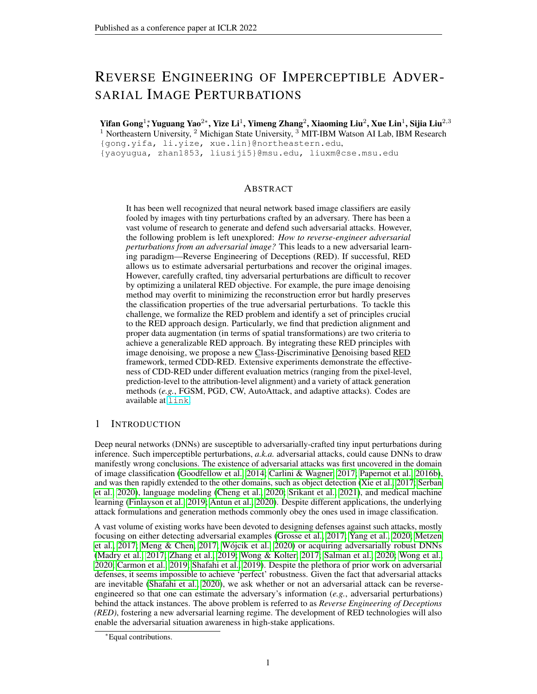$PA<sub>clean</sub> and PA<sub>adv</sub> with a slightly largely  $(x; x<sub>RED</sub>)$  than DO. This is not surprising as DO focuses$ only on the pixel-level denoising error metric. However, as illustrated in Sec. 3, the other metric like PA also plays a key role in evaluating the RED performance.

|                               | 1 K .    | DS     | CDD-RED |
|-------------------------------|----------|--------|---------|
| $d(x; x_{RED})$               | 0.94     | 4.50   | 1.52    |
| r <sup>2</sup> he <u>nign</u> | $9.90\%$ | 71.75% | 71.80%  |
|                               | 92.55%   | 89.70% | 99.55%  |

Table A2: The performance comparison among DO, DS, and CDD-RED on the CIDAR-10 dataset.

### C.2 PERFORMANCE ONWASSERSTEIN MINIMIZED ATTACKERS

We further show the performance on Wasserstein minimized attackers, which is an unseen attack type during training. The adversarial examples are generated on the ImageNet sub-dataset using Wasserstein ball. We follow the same setting from Wong et al. (2019), where the attack radius 0.1 and the maximum iteration is 400 under norm inside Wasserstein ball. The results are shown in Table A3. As we can see, Wasserstein attack is a more challenging attack type for RED than the I<sub>p</sub> attack types considered in the paper, justi ed by the lower prediction aligne $\mathsf{P}\!\mathsf{A}_{\mathsf{B}\!\mathsf{B}}$ h $_{\mathsf{gn}}$ across all methods. This implies a possible limitation of supervised training  $\deg(\mathbf{r}_1)$  attacks. One simple solution is to expand the training dataset using more diversi ed attacks (including Wasserstein attacks). However, we believe that the further improvement of the generalization ability of RED deserves a more careful study in the future, e.g., an extension from the supervised learning paradigm to the (self-supervised) pre-training and netuning paradigm.

Table A3: The performance comparison among DO, DS, CDD-REDon Wasserstein minimized attackers.

|                               |        | 1)S    | CDD-RED |
|-------------------------------|--------|--------|---------|
| $d(x; x_{RED})$               | 9.79   | 17.38  | 11.66   |
| PA <sub>benign</sub>          | 92.50% | 96.20% | 97.50%  |
| <sup>2</sup> A <sub>adv</sub> | 35.00% | 37.10% | 37.50%  |

### C.3 PERFORMANCE ON ATTACKS AGAINST SMOOTHED CLASSIFIERS

We further show the performance on the attack against smoothed classi ers, which is an unseen attack type during training. A smoothed classi er predicts any inputsing the majority vote based on randomly perturbed inputs  $(x; 21)$  (Cohen et al., 2019). Here we consider the 10-step PGDattack generation method with the perturbation radius  $20=255$ , and = 0:25 for smoothing. As shown in Table A4, the proposed CDD-RED method provides the  $B_{\text{Qgshn}}$  and PA<sub>adv</sub> with a slightly largerd $(x; x_{RED})$  than DO.

Table A4: The performance comparison among DO, DS, CaDD-REDon the PGD attack against smoothed classi ers.

|                      | 1 K I  | ÐS     | CDD-RED |
|----------------------|--------|--------|---------|
| $d(x; x_{RED})$      | 15.53  | 22.42  | 15.89   |
| PA <sub>benign</sub> | 68.13% | 70.88% | 76.10%  |
| 'A <sub>adv</sub>    | 58.24% | 58.79% | 61.54%  |

# D COMPUTATION COST OFRED

We measure the computation cost on a single RTX Titan GPU. The inference time for DO, DS, and CDD-REDis similar as they use the same denoiser architecture. For the training cost, the maximum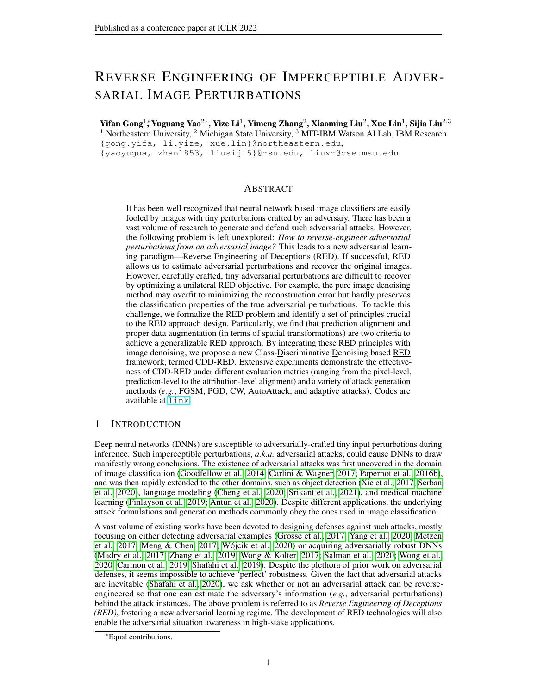training epoch for each method is set as 300. The average GPU time (in seconds) of one epoch for DO, DS, and CDD-RED is 850, 1180, and 2098, respectively. It is not surprising that CDD-RED is conducted over a more complex RED objective. Yet, the denoiser only needs to be trained once to reverse-engineer a wide variety of adversarial perturbations, including those unseen attacks during the training.

### E ABLATION STUDIES ON CDD-RED

In this section, we present additional experiment results using the proposed CDD-RED method for reverse engineering of deception (RED). We will study the effect of the following model/parameter choice on the performance of CDD-RED: 1) pretrained classifier  $\hat{f}$  for PA regularization, 2) data augmentation strategy  $\tau$  for PA regularization, and 3) regularization parameter that strikes a balance between the pixel-level reconstruction error and PA in (4). Recall that the CDD-RED method in the main paper sets  $\hat{f}$  as VGG19,  $T = ft \, 2 \, T \, j \hat{F}(t(\mathbf{x})) = \hat{F}(\mathbf{x})$ ;  $\hat{F}(t(\mathbf{x}')) = \hat{F}(\mathbf{x}') g$ , and  $= 0.025$ .

### E.1 PRETRAINED CLASSIFIER  $\hat{f}$ .

| Table A5: The performance of CDD-RED using a different pretrained classifier $\hat{f}$ (either Res50 or |
|---------------------------------------------------------------------------------------------------------|
| R-Res50) compared with the default setting $\hat{F}$ =VGG19.                                            |

|                                                                    | $\hat{f}$ =Res50   | $f=R-Res50$        |
|--------------------------------------------------------------------|--------------------|--------------------|
| $d(\mathbf{x} \mathbf{x}_{\text{RED}})$<br>$(\# \text{is better})$ | $12.84 \ (\#0.20)$ | $10.09$ (#2.95)    |
| $PA_{\rm benign}$<br>" is better)                                  | 84.33% (#1.38%)    | 57.88% (#27.83%)   |
| $PA_{\text{adv}}$<br>is better)                                    | 79.94% (#0.49%)    | $71.02\%$ (#9.40%) |
|                                                                    |                    |                    |

Besides setting  $\hat{f}$  as VGG19, Table A5 shows the RED performance using the other pretrained models, *i.e.*, Res50 and R-Res50. As we can see, the use of Res50 yields the similar performance as VGG19. Although some minor improvements are observed in terms of pixel level reconstruction error, the PA performance suffers a larger degradation. Compared to Res50, the use of an adversarially robust model R-Res50 significantly hampers the RED performance. That is because the adversarially robust model typically lowers the prediction accuracy, it is not able to ensure the class-discriminative ability in the non-adversarial context, namely, the PA regularization performance.

#### E.2 DATA SELECTION FOR PA REGULARIZATION.

Table A6: Ablation study on the selection of  $T(T = T$  and without (w/o) T)) for training CDD-RED, compared with  $T = f\dot{t} \, 2 \, T j \dot{F}(\dot{t}(x)) = \dot{F}(x)$ ;  $\dot{F}(t(x')) = \dot{F}(x')$ ; g  $\equiv$ 

|                                                                                | $T = T$             | $w/\Omega$          |
|--------------------------------------------------------------------------------|---------------------|---------------------|
| $\overline{d}(\mathbf{x}; \mathbf{x}_{\text{RED}})$<br>$(\# \text{is better})$ | $15.52$ ( $"2.48$ ) | $13.50$ ( $"$ 0.46) |
| $PA_{\rm benign}$<br>$"$ is better)                                            | 83.64% (#2.07%)     | 84.04% (#1.67%)     |
| $PA_{\text{adv}}$<br>" is better)                                              | 75.92% (#4.51%)     | 79.99% (#0.44%)     |

As data augmentation might alter the classifier's original decision in (4), we study how  $\top$  affects the RED performance by setting  $\bar{T}$  as the original data, i.e., without data augmentation, and all data, i.e.,  $T = T$ . Table A6 shows the performance of different T configurations, compared with the default setting. The performance is measured on the testing dataset. As we can see, using all data or original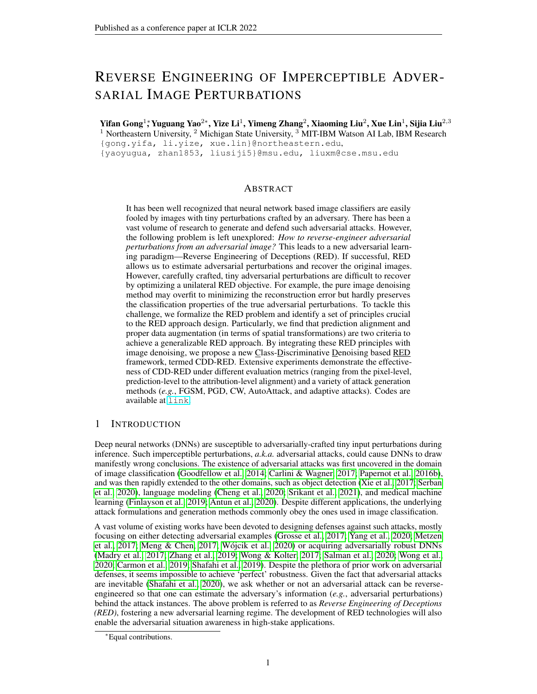data cannot provide an overall better performance than CDD-RED. That is because the former might cause over-transformation, and the latter lacks generalization ability.

### E.3 REGULARIZATION PARAMETER .

Table A7: Ablation study on the regularization parameter (0, 0.0125, and 0.05) for CDD-RED training, compared with  $=0.025$ .

|                                                                     | $=()$                | $=0.0125$          | $=0.05$              |
|---------------------------------------------------------------------|----------------------|--------------------|----------------------|
| $d(\mathbf{x}; \mathbf{x}_{\text{RED}})$<br>$(\# \text{is better})$ | $8.92 \ (\#4.12)$    | $12.79 \ (\#0.25)$ | $14.85$ ( $"2.13$ )  |
| $PA_{\rm benign}$<br>" is better)                                   | 47.61% $(\#38.10\%)$ | 81.00% (#4.71%)    | 85.56% ( $#0.15\%$ ) |
| $PA_{\text{adv}}$<br>" is better)                                   | 73.37% (#7.06%)      | 78.25% (#2.18%)    | 79.94% ( $#0.49\%$ ) |

The overall training objective of CDD-RED is (4), which is the weighted sum of the reconstruction error and PA with a regularization parameter . We further study the sensitivity of CDD-RED to the choice of, which is set by  $0/0.0125$ , and 0.05. Table A7 shows the RED performance of using different values, compared with the default setting  $= 0.025$ . We report the average performance on the testing dataset. As we can see, the use of  $= 0$ , which corresponds to training the denoiser without PA regularization, achieves a lower pixel-level reconstruction error  $d(\mathbf{x} / \mathbf{x}_{\text{RED}})$ , but degrades the prediction-level performance, especially  $PA_{\text{benien}}$  greatly. In the same time,  $= 0$  provides a smaller pixel-level reconstruction error with a better PA performance than DO, which indicates the importance of using proper augmentations. We also observe that keep increasing to 0.05 is not able to provide a better PA.

### F ABLATION STUDY OF DIFFERENT ATTACK HYPERPARAMETER SETTINGS

We test on PGD attacks generated with different step sizes, including  $4=255$  and  $6=255$ , and with and without random initialization (RI). Other hyperparameters are kept the same. The adversarial examples are generated by the same set of images w.r.t. the same classifier ResNet-50. The results are shown in Table A8. As we can see, the RED performance is quite robust against the varying hyperparameters of PGD attacks. Compared with DO, CDD-RED greatly improves PA<sub>benign</sub> and achieves higher PA<sub>adv</sub> with a slightly larger  $d(x; x_{RED})$ . Compared to DS, CDD-RED achieves slightly better PA but with a much smaller reconstruction error  $d(\mathbf{x}; \mathbf{x}_{\text{RED}})$ .

| Without RI / With RI                    | Stepsize | DO            | DS            | CDD-RED             |
|-----------------------------------------|----------|---------------|---------------|---------------------|
| $d(\mathbf{x} \mathbf{x}_{\text{RED}})$ | 4/255    | 5.94/5.96     | 16.56/16.57   | 8.91/8.94           |
|                                         | 6/255    | 5.99/5.98     | 16.52/16.50   | 8.97/8.94           |
| $PA_{\rm benign}$                       | 4/255    | 40.00%/47.00% | 91.00%/91.00% | $94.00\% / 93.00\%$ |
|                                         | 6/255    | 51.00%/61.00% | 94.00%/93.00% | $95.00\% / 94.50\%$ |
| $PA_{\text{adv}}$                       | 4/2.55   | 97.50%/97.50% | 97.50%/97.50% | $99.50\%/99.50\%$   |
|                                         | 6/255    | 96.50%/96.50% | 95.50%/95.50% | $98.50\%/99.50\%$   |

Table A8: RED performance for PGD with different hyperparameter settings, including stepsize as 4=255 and 6=255, and with and without RI.

### G PERFORMANCE WITHOUT ADVERSARIAL DETECTION ASSUMPTION

The focus of RED is to demonstrate the feasibility of recovering the adversarial perturbations from an adversarial example. However, in order to show the RED performance on the global setting, we experiment with a mixture of 1) adversarial images, 2) images with Gaussian noise (images with random perturbations), and 3) clean images on the ImageNet dataset. The standard deviation of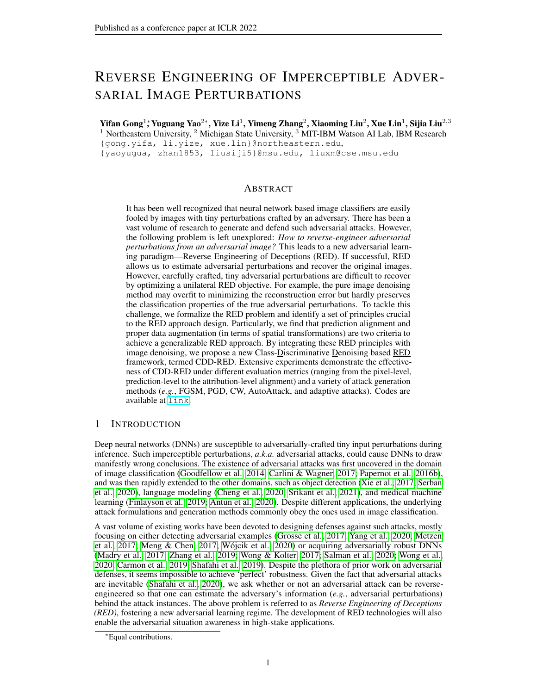the Gaussian noise is set as 0.05. Each type of data accounts for 1/3 of the total data. The images are shuffled to mimic the live data case. The overall accuracy before denoising is 63.08%. After denoising, the overall accuracy obtained by DO, DS, and CDD-RED is 72.45%, 88.26%, and **89.11%**, respectively. During the training of the denoisers, random noise is not added to the input.

### H TRANSFERABILITY OF RECONSTRUCTED ADVERSARIAL ESTIMATE

We further examine the transferability of RED-synthesized perturbations. In the experiment, REDsynthesized perturbations are generated from PGD attacks using ResNet-50. We then evaluate the attack success rate (ASR) of the resulting perturbations transferred to the victim models ResNet-18, VGG16, VGG19, and Inception-V3. The results are shown in Table A9. As we can see, the perturbation estimates obtained via our CDD-RED yield better attack transferability than DO and DS. Therefore, such RED-synthesized perturbations can be regarded as an efficient transfer attack method.

|              | DO     | DS.    | CDD-RED   |
|--------------|--------|--------|-----------|
| ResNet-18    | 66.50% | 70.50% | $77.50\%$ |
| VGG16        | 71.50% | 74.00% | 81.00%    |
| VGG19        | 71.50% | 70.00% | $80.00\%$ |
| Inception-V3 | 86.00% | 85.50% | $90.00\%$ |

Table A9: The tranferability of RED-synthesized perturbations.

#### I POTENTIAL APPLICATIONS OF RED

In this paper, we focus on recovering attack perturbation details from adversarial examples. But in the same time, the proposed RED can be leveraged for various potential interesting applications. In this section, we delve into three applications, including RED for adversarial detection in I.1, inferring the attack identity in I.2, and provable defense in I.3.

#### I.1 RED FOR ADVERSARIAL DETECTION

The outputs of RED can be looped back to help the design of adversarial detectors. Recall that our proposed RED method (CDD-RED) can deliver an attribution alignment test, which reflects the sensitivity of input attribution scores to the pre-RED and post-RED operations. Thus, if an input is an adversarial example, then it will cause a high attribution dissimilarity (i.e., misalignment) between the pre-RED input and the post-RED input, i.e.,  $I(x; f(x))$  vs.  $I(D(x); f(D(x)))$  following the notations in Section 3. In this sense, attribution alignment built upon  $I(x; f(x))$  and  $I(D(x); f(D(x)))$  can be used as an adversarial detector. Along this direction, we conducted some preliminary results on RED-assisted adversarial detection, and compared the ROC performance of the detector using CDD-RED and that using denoised smoothing (DS). In Figure A1, we observe that the CDD-RED based detector yields a superior detection performance, justified by its large area under the curve. Here the detection evaluation dataset is consistent with the test dataset in the evaluation section of the paper.